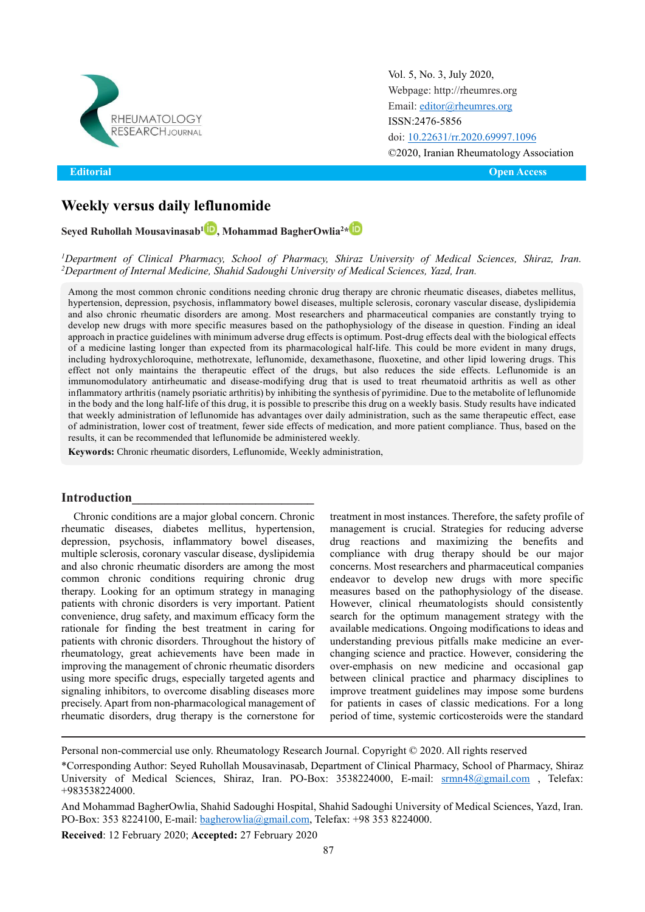

**Editorial** 

Vol. 5, No. 3, July 2020, [Webpage: http://rheumres.org](http://rheumres.org/) Email[: editor@rheumres.org](mailto:editor@rheumres.org) ISSN:2476-5856 doi[: 10.22631/rr.2020.69997.1096](http://dx.doi.org/10.22631/rr.2020.69997.1096) ©2020, Iranian Rheumatology Association

**Open Access** 

## **Weekly versus daily leflunomide**

**Seyed Ruhollah Mousavinasab[1](https://www.orcid.org/0000-0002-8447-0661) , Mohammad BagherOwlia2 [\\*](https://www.orcid.org/0000-0001-8062-6430)**

*<sup>1</sup>Department of Clinical Pharmacy, School of Pharmacy, Shiraz University of Medical Sciences, Shiraz, Iran. <sup>2</sup>Department of Internal Medicine, Shahid Sadoughi University of Medical Sciences, Yazd, Iran.*

Among the most common chronic conditions needing chronic drug therapy are chronic rheumatic diseases, diabetes mellitus, hypertension, depression, psychosis, inflammatory bowel diseases, multiple sclerosis, coronary vascular disease, dyslipidemia and also chronic rheumatic disorders are among. Most researchers and pharmaceutical companies are constantly trying to develop new drugs with more specific measures based on the pathophysiology of the disease in question. Finding an ideal approach in practice guidelines with minimum adverse drug effects is optimum. Post-drug effects deal with the biological effects of a medicine lasting longer than expected from its pharmacological half-life. This could be more evident in many drugs, including hydroxychloroquine, methotrexate, leflunomide, dexamethasone, fluoxetine, and other lipid lowering drugs. This effect not only maintains the therapeutic effect of the drugs, but also reduces the side effects. Leflunomide is an immunomodulatory antirheumatic and disease-modifying drug that is used to treat rheumatoid arthritis as well as other inflammatory arthritis (namely psoriatic arthritis) by inhibiting the synthesis of pyrimidine. Due to the metabolite of leflunomide in the body and the long half-life of this drug, it is possible to prescribe this drug on a weekly basis. Study results have indicated that weekly administration of leflunomide has advantages over daily administration, such as the same therapeutic effect, ease of administration, lower cost of treatment, fewer side effects of medication, and more patient compliance. Thus, based on the results, it can be recommended that leflunomide be administered weekly.

**Keywords:** Chronic rheumatic disorders, Leflunomide, Weekly administration,

#### **Introduction\_\_\_\_\_\_\_\_\_\_\_\_\_\_\_\_\_\_\_\_\_\_\_\_\_\_\_\_**

Chronic conditions are a major global concern. Chronic rheumatic diseases, diabetes mellitus, hypertension, depression, psychosis, inflammatory bowel diseases, multiple sclerosis, coronary vascular disease, dyslipidemia and also chronic rheumatic disorders are among the most common chronic conditions requiring chronic drug therapy. Looking for an optimum strategy in managing patients with chronic disorders is very important. Patient convenience, drug safety, and maximum efficacy form the rationale for finding the best treatment in caring for patients with chronic disorders. Throughout the history of rheumatology, great achievements have been made in improving the management of chronic rheumatic disorders using more specific drugs, especially targeted agents and signaling inhibitors, to overcome disabling diseases more precisely. Apart from non-pharmacological management of rheumatic disorders, drug therapy is the cornerstone for

treatment in most instances. Therefore, the safety profile of management is crucial. Strategies for reducing adverse drug reactions and maximizing the benefits and compliance with drug therapy should be our major concerns. Most researchers and pharmaceutical companies endeavor to develop new drugs with more specific measures based on the pathophysiology of the disease. However, clinical rheumatologists should consistently search for the optimum management strategy with the available medications. Ongoing modifications to ideas and understanding previous pitfalls make medicine an everchanging science and practice. However, considering the over-emphasis on new medicine and occasional gap between clinical practice and pharmacy disciplines to improve treatment guidelines may impose some burdens for patients in cases of classic medications. For a long period of time, systemic corticosteroids were the standard

Personal non-commercial use only. Rheumatology Research Journal. Copyright © 2020. All rights reserved

**Received**: 12 February 2020; **Accepted:** 27 February 2020

<sup>\*</sup>Corresponding Author: Seyed Ruhollah Mousavinasab, Department of Clinical Pharmacy, School of Pharmacy, Shiraz University of Medical Sciences, Shiraz, Iran. PO-Box: 3538224000, E-mail: [srmn48@gmail.com](mailto:srmn48@gmail.com) , Telefax: +983538224000.

And Mohammad BagherOwlia, Shahid Sadoughi Hospital, Shahid Sadoughi University of Medical Sciences, Yazd, Iran. PO-Box: 353 8224100, E-mail: [bagherowlia@gmail.com,](mailto:bagherowlia@gmail.com) Telefax: +98 353 8224000.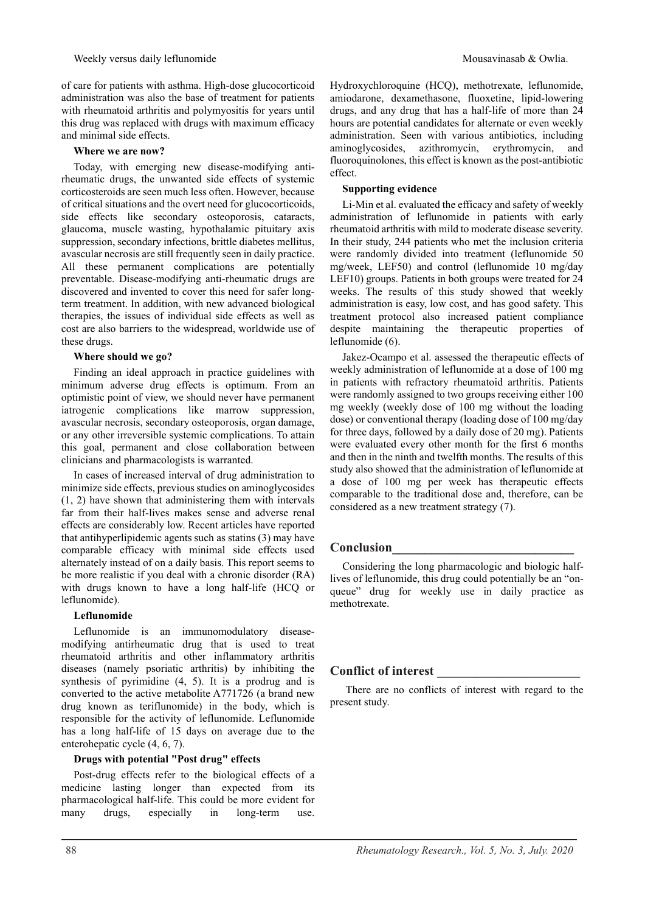of care for patients with asthma. High-dose glucocorticoid administration was also the base of treatment for patients with rheumatoid arthritis and polymyositis for years until this drug was replaced with drugs with maximum efficacy and minimal side effects.

#### **Where we are now?**

Today, with emerging new disease-modifying antirheumatic drugs, the unwanted side effects of systemic corticosteroids are seen much less often. However, because of critical situations and the overt need for glucocorticoids, side effects like secondary osteoporosis, cataracts, glaucoma, muscle wasting, hypothalamic pituitary axis suppression, secondary infections, brittle diabetes mellitus, avascular necrosis are still frequently seen in daily practice. All these permanent complications are potentially preventable. Disease-modifying anti-rheumatic drugs are discovered and invented to cover this need for safer longterm treatment. In addition, with new advanced biological therapies, the issues of individual side effects as well as cost are also barriers to the widespread, worldwide use of these drugs.

#### **Where should we go?**

Finding an ideal approach in practice guidelines with minimum adverse drug effects is optimum. From an optimistic point of view, we should never have permanent iatrogenic complications like marrow suppression, avascular necrosis, secondary osteoporosis, organ damage, or any other irreversible systemic complications. To attain this goal, permanent and close collaboration between clinicians and pharmacologists is warranted.

In cases of increased interval of drug administration to minimize side effects, previous studies on aminoglycosides (1, 2) have shown that administering them with intervals far from their half-lives makes sense and adverse renal effects are considerably low. Recent articles have reported that antihyperlipidemic agents such as statins (3) may have comparable efficacy with minimal side effects used alternately instead of on a daily basis. This report seems to be more realistic if you deal with a chronic disorder (RA) with drugs known to have a long half-life (HCQ or leflunomide).

#### **Leflunomide**

Leflunomide is an immunomodulatory diseasemodifying antirheumatic drug that is used to treat rheumatoid arthritis and other inflammatory arthritis diseases (namely psoriatic arthritis) by inhibiting the synthesis of pyrimidine (4, 5). It is a prodrug and is converted to the active metabolite A771726 (a brand new drug known as teriflunomide) in the body, which is responsible for the activity of leflunomide. Leflunomide has a long half-life of 15 days on average due to the enterohepatic cycle (4, 6, 7).

#### **Drugs with potential "Post drug" effects**

Post-drug effects refer to the biological effects of a medicine lasting longer than expected from its pharmacological half-life. This could be more evident for many drugs, especially in long-term use. Hydroxychloroquine (HCQ), methotrexate, leflunomide, amiodarone, dexamethasone, fluoxetine, lipid-lowering drugs, and any drug that has a half-life of more than 24 hours are potential candidates for alternate or even weekly administration. Seen with various antibiotics, including aminoglycosides, azithromycin, erythromycin, and fluoroquinolones, this effect is known as the post-antibiotic effect.

### **Supporting evidence**

Li-Min et al. evaluated the efficacy and safety of weekly administration of leflunomide in patients with early rheumatoid arthritis with mild to moderate disease severity. In their study, 244 patients who met the inclusion criteria were randomly divided into treatment (leflunomide 50 mg/week, LEF50) and control (leflunomide 10 mg/day LEF10) groups. Patients in both groups were treated for 24 weeks. The results of this study showed that weekly administration is easy, low cost, and has good safety. This treatment protocol also increased patient compliance despite maintaining the therapeutic properties of leflunomide (6).

Jakez-Ocampo et al. assessed the therapeutic effects of weekly administration of leflunomide at a dose of 100 mg in patients with refractory rheumatoid arthritis. Patients were randomly assigned to two groups receiving either 100 mg weekly (weekly dose of 100 mg without the loading dose) or conventional therapy (loading dose of 100 mg/day for three days, followed by a daily dose of 20 mg). Patients were evaluated every other month for the first 6 months and then in the ninth and twelfth months. The results of this study also showed that the administration of leflunomide at a dose of 100 mg per week has therapeutic effects comparable to the traditional dose and, therefore, can be considered as a new treatment strategy (7).

### **Conclusion\_\_\_\_\_\_\_\_\_\_\_\_\_\_\_\_\_\_\_\_\_\_\_\_\_\_\_\_**

Considering the long pharmacologic and biologic halflives of leflunomide, this drug could potentially be an "onqueue" drug for weekly use in daily practice as methotrexate.

### **Conflict of interest \_\_\_\_\_\_\_\_\_\_\_\_\_\_\_\_\_\_\_\_\_\_**

There are no conflicts of interest with regard to the present study.